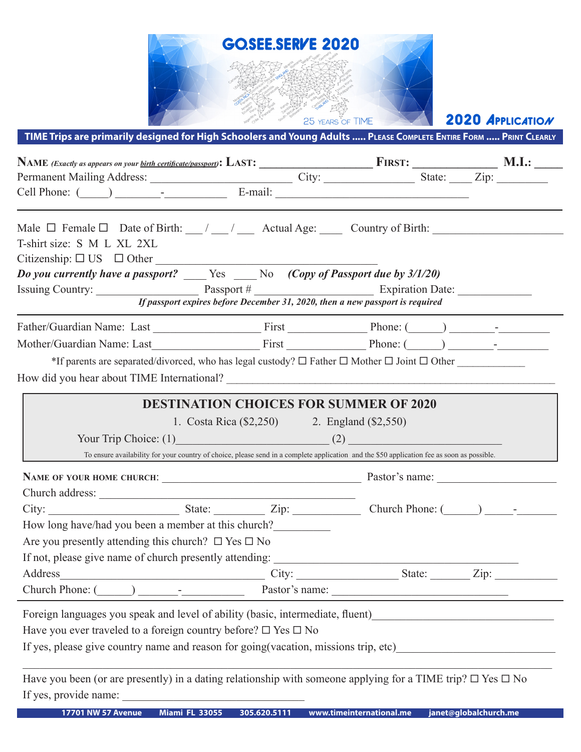

2020 APPLICATION

**TIME Trips are primarily designed for High Schoolers and Young Adults ..... Please Complete Entire Form ..... Print Clearly**

| Permanent Mailing Address: City: City: State: Zip: Zip:                                                                                                                                                                 |                                              |                          |                                                   |
|-------------------------------------------------------------------------------------------------------------------------------------------------------------------------------------------------------------------------|----------------------------------------------|--------------------------|---------------------------------------------------|
| Cell Phone: $\qquad \qquad$ $\qquad$ $\qquad$ $\qquad$ $\qquad$ $\qquad$ E-mail:                                                                                                                                        |                                              |                          |                                                   |
| Male $\Box$ Female $\Box$ Date of Birth: $\frac{1}{\Box}$ / $\frac{1}{\Box}$ Actual Age: $\frac{1}{\Box}$ Country of Birth: $\frac{1}{\Box}$<br>T-shirt size: S M L XL 2XL<br>$Citizenship: \Box US \Box Other _______$ |                                              |                          |                                                   |
| Do you currently have a passport? $\frac{1}{\sqrt{1-\frac{1}{n}}}$ $\frac{1}{\sqrt{1-\frac{1}{n}}}$ No $\frac{1}{\sqrt{1-\frac{1}{n}}}$ (Copy of Passport due by 3/1/20)                                                |                                              |                          |                                                   |
| Issuing Country: $\frac{Passport \#}{\text{If } passport \text{ express before December 31, 2020, then a new passport is required}}$                                                                                    |                                              |                          |                                                   |
|                                                                                                                                                                                                                         |                                              |                          |                                                   |
|                                                                                                                                                                                                                         |                                              |                          |                                                   |
|                                                                                                                                                                                                                         |                                              |                          |                                                   |
| *If parents are separated/divorced, who has legal custody? $\Box$ Father $\Box$ Mother $\Box$ Joint $\Box$ Other                                                                                                        |                                              |                          |                                                   |
|                                                                                                                                                                                                                         |                                              |                          |                                                   |
|                                                                                                                                                                                                                         |                                              |                          |                                                   |
| <b>DESTINATION CHOICES FOR SUMMER OF 2020</b>                                                                                                                                                                           |                                              |                          |                                                   |
|                                                                                                                                                                                                                         | 1. Costa Rica (\$2,250) 2. England (\$2,550) |                          |                                                   |
| Your Trip Choice: $(1)$ (2)                                                                                                                                                                                             |                                              |                          |                                                   |
| To ensure availability for your country of choice, please send in a complete application and the \$50 application fee as soon as possible.                                                                              |                                              |                          |                                                   |
|                                                                                                                                                                                                                         |                                              |                          |                                                   |
| Church address:                                                                                                                                                                                                         |                                              |                          |                                                   |
|                                                                                                                                                                                                                         |                                              |                          |                                                   |
| How long have/had you been a member at this church?                                                                                                                                                                     |                                              |                          |                                                   |
| Are you presently attending this church? $\Box$ Yes $\Box$ No                                                                                                                                                           |                                              |                          |                                                   |
|                                                                                                                                                                                                                         |                                              |                          |                                                   |
| Address City:                                                                                                                                                                                                           |                                              | <u>State: Zip:</u>       |                                                   |
| Church Phone: (                                                                                                                                                                                                         |                                              | Pastor's name:           |                                                   |
| Foreign languages you speak and level of ability (basic, intermediate, fluent)                                                                                                                                          |                                              |                          | <u> 1989 - Johann Barbara, martxa alemaniar a</u> |
| Have you ever traveled to a foreign country before? $\square$ Yes $\square$ No                                                                                                                                          |                                              |                          |                                                   |
| If yes, please give country name and reason for going (vacation, missions trip, etc)                                                                                                                                    |                                              |                          |                                                   |
|                                                                                                                                                                                                                         |                                              |                          |                                                   |
| Have you been (or are presently) in a dating relationship with someone applying for a TIME trip? $\Box$ Yes $\Box$ No                                                                                                   |                                              |                          |                                                   |
| If yes, provide name:                                                                                                                                                                                                   |                                              |                          |                                                   |
| <b>Miami FL 33055</b><br><b>17701 NW 57 Avenue</b>                                                                                                                                                                      | 305.620.5111                                 | www.timeinternational.me | janet@globalchurch.me                             |